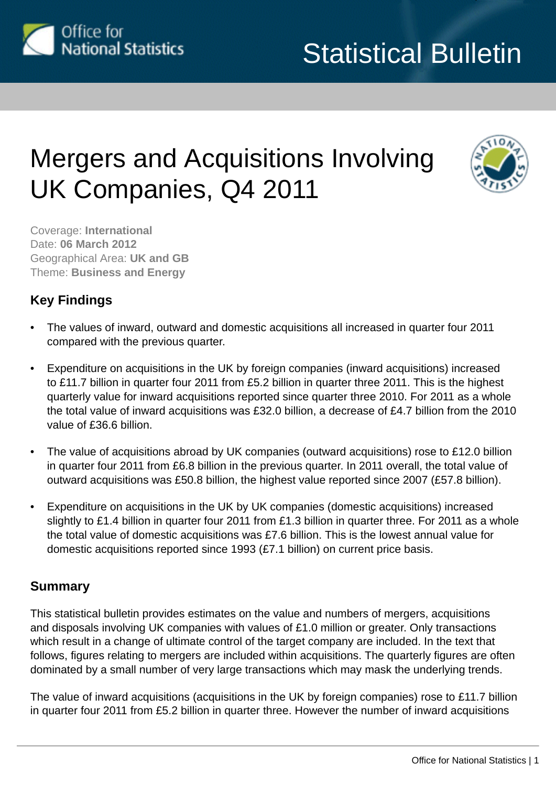

# Mergers and Acquisitions Involving UK Companies, Q4 2011



Coverage: **International** Date: **06 March 2012** Geographical Area: **UK and GB** Theme: **Business and Energy**

# **Key Findings**

- The values of inward, outward and domestic acquisitions all increased in quarter four 2011 compared with the previous quarter.
- Expenditure on acquisitions in the UK by foreign companies (inward acquisitions) increased to £11.7 billion in quarter four 2011 from £5.2 billion in quarter three 2011. This is the highest quarterly value for inward acquisitions reported since quarter three 2010. For 2011 as a whole the total value of inward acquisitions was £32.0 billion, a decrease of £4.7 billion from the 2010 value of £36.6 billion.
- The value of acquisitions abroad by UK companies (outward acquisitions) rose to £12.0 billion in quarter four 2011 from £6.8 billion in the previous quarter. In 2011 overall, the total value of outward acquisitions was £50.8 billion, the highest value reported since 2007 (£57.8 billion).
- Expenditure on acquisitions in the UK by UK companies (domestic acquisitions) increased slightly to £1.4 billion in quarter four 2011 from £1.3 billion in quarter three. For 2011 as a whole the total value of domestic acquisitions was £7.6 billion. This is the lowest annual value for domestic acquisitions reported since 1993 (£7.1 billion) on current price basis.

## **Summary**

This statistical bulletin provides estimates on the value and numbers of mergers, acquisitions and disposals involving UK companies with values of £1.0 million or greater. Only transactions which result in a change of ultimate control of the target company are included. In the text that follows, figures relating to mergers are included within acquisitions. The quarterly figures are often dominated by a small number of very large transactions which may mask the underlying trends.

The value of inward acquisitions (acquisitions in the UK by foreign companies) rose to £11.7 billion in quarter four 2011 from £5.2 billion in quarter three. However the number of inward acquisitions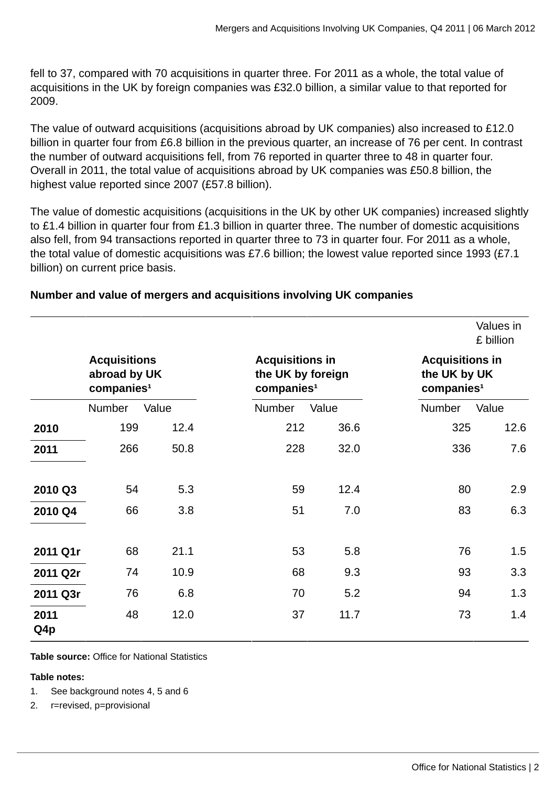fell to 37, compared with 70 acquisitions in quarter three. For 2011 as a whole, the total value of acquisitions in the UK by foreign companies was £32.0 billion, a similar value to that reported for 2009.

The value of outward acquisitions (acquisitions abroad by UK companies) also increased to £12.0 billion in quarter four from £6.8 billion in the previous quarter, an increase of 76 per cent. In contrast the number of outward acquisitions fell, from 76 reported in quarter three to 48 in quarter four. Overall in 2011, the total value of acquisitions abroad by UK companies was £50.8 billion, the highest value reported since 2007 (£57.8 billion).

The value of domestic acquisitions (acquisitions in the UK by other UK companies) increased slightly to £1.4 billion in quarter four from £1.3 billion in quarter three. The number of domestic acquisitions also fell, from 94 transactions reported in quarter three to 73 in quarter four. For 2011 as a whole, the total value of domestic acquisitions was £7.6 billion; the lowest value reported since 1993 (£7.1 billion) on current price basis.

# Values in £ billion **Acquisitions abroad by UK** companies<sup>1</sup> **Acquisitions in the UK by foreign** companies<sup>1</sup> **Acquisitions in the UK by UK** companies<sup>1</sup> Number Value Number Value Number Value **2010** 199 12.4 212 36.6 325 12.6 **2011** 266 50.8 228 32.0 336 7.6 **2010 Q3** 54 5.3 59 12.4 80 2.9 **2010 Q4** 66 3.8 51 7.0 83 6.3 **2011 Q1r** 68 21.1 53 5.8 76 1.5 **2011 Q2r** 74 10.9 68 9.3 93 3.3 **2011 Q3r** 76 6.8 70 5.2 94 1.3 **2011 Q4p** 48 12.0 37 11.7 73 1.4

## **Number and value of mergers and acquisitions involving UK companies**

**Table source:** Office for National Statistics

#### **Table notes:**

1. See background notes 4, 5 and 6

2. r=revised, p=provisional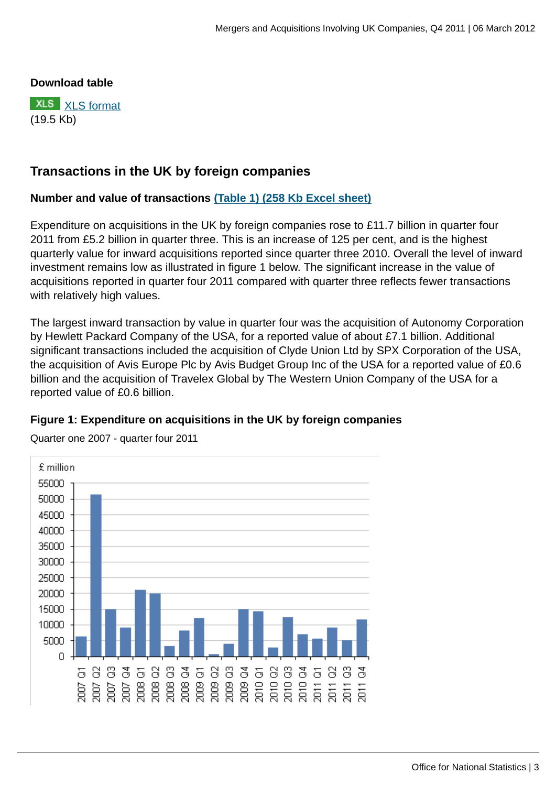#### **Download table**

**XLS** [XLS format](http://www.ons.gov.uk:80/ons/rel/international-transactions/mergers-and-acquisitions-involving-uk-companies/q4-2011/prt-ma-summary.xls) (19.5 Kb)

# **Transactions in the UK by foreign companies**

## **Number and value of transactions [\(Table 1\) \(258 Kb Excel sheet\)](http://www.ons.gov.uk:80/ons/rel/international-transactions/mergers-and-acquisitions-involving-uk-companies/q4-2011/rft-tables-1-10.xls)**

Expenditure on acquisitions in the UK by foreign companies rose to £11.7 billion in quarter four 2011 from £5.2 billion in quarter three. This is an increase of 125 per cent, and is the highest quarterly value for inward acquisitions reported since quarter three 2010. Overall the level of inward investment remains low as illustrated in figure 1 below. The significant increase in the value of acquisitions reported in quarter four 2011 compared with quarter three reflects fewer transactions with relatively high values.

The largest inward transaction by value in quarter four was the acquisition of Autonomy Corporation by Hewlett Packard Company of the USA, for a reported value of about £7.1 billion. Additional significant transactions included the acquisition of Clyde Union Ltd by SPX Corporation of the USA, the acquisition of Avis Europe Plc by Avis Budget Group Inc of the USA for a reported value of £0.6 billion and the acquisition of Travelex Global by The Western Union Company of the USA for a reported value of £0.6 billion.

## **Figure 1: Expenditure on acquisitions in the UK by foreign companies**



Quarter one 2007 - quarter four 2011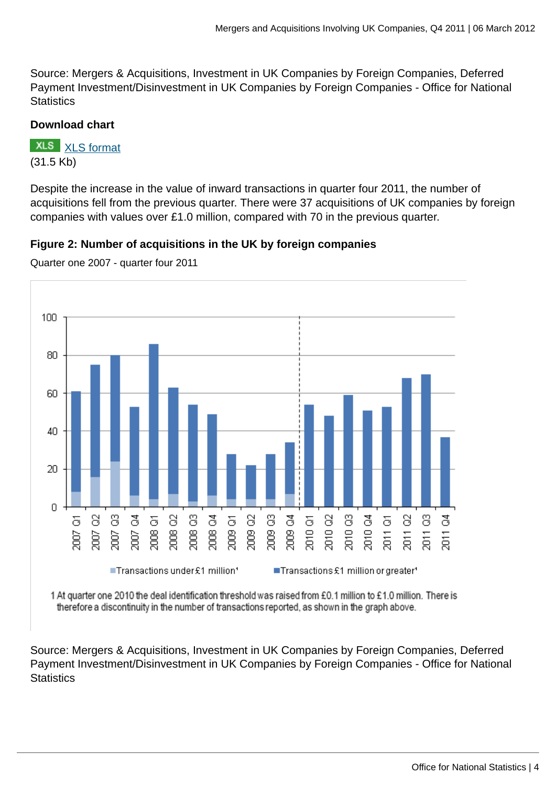Source: Mergers & Acquisitions, Investment in UK Companies by Foreign Companies, Deferred Payment Investment/Disinvestment in UK Companies by Foreign Companies - Office for National **Statistics** 

#### **Download chart**

**XLS** [XLS format](http://www.ons.gov.uk:80/ons/rel/international-transactions/mergers-and-acquisitions-involving-uk-companies/q4-2011/chd-inward-values.xls) (31.5 Kb)

Despite the increase in the value of inward transactions in quarter four 2011, the number of acquisitions fell from the previous quarter. There were 37 acquisitions of UK companies by foreign companies with values over £1.0 million, compared with 70 in the previous quarter.

## **Figure 2: Number of acquisitions in the UK by foreign companies**



Quarter one 2007 - quarter four 2011

1 At quarter one 2010 the deal identification threshold was raised from £0.1 million to £1.0 million. There is therefore a discontinuity in the number of transactions reported, as shown in the graph above.

Source: Mergers & Acquisitions, Investment in UK Companies by Foreign Companies, Deferred Payment Investment/Disinvestment in UK Companies by Foreign Companies - Office for National **Statistics**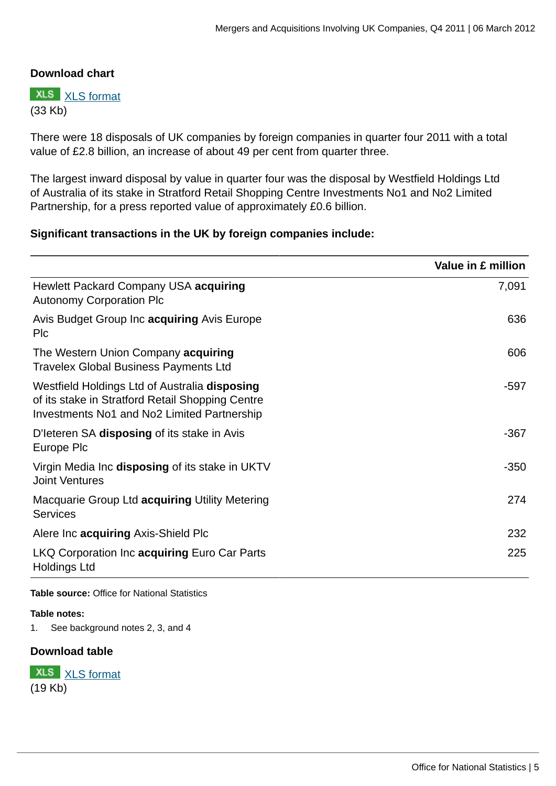#### **Download chart**

**XLS** [XLS format](http://www.ons.gov.uk:80/ons/rel/international-transactions/mergers-and-acquisitions-involving-uk-companies/q4-2011/chd-inward-numbers.xls) (33 Kb)

There were 18 disposals of UK companies by foreign companies in quarter four 2011 with a total value of £2.8 billion, an increase of about 49 per cent from quarter three.

The largest inward disposal by value in quarter four was the disposal by Westfield Holdings Ltd of Australia of its stake in Stratford Retail Shopping Centre Investments No1 and No2 Limited Partnership, for a press reported value of approximately £0.6 billion.

#### **Significant transactions in the UK by foreign companies include:**

|                                                                                                                                                  | Value in £ million |
|--------------------------------------------------------------------------------------------------------------------------------------------------|--------------------|
| Hewlett Packard Company USA acquiring<br><b>Autonomy Corporation Plc</b>                                                                         | 7,091              |
| Avis Budget Group Inc acquiring Avis Europe<br><b>Plc</b>                                                                                        | 636                |
| The Western Union Company acquiring<br><b>Travelex Global Business Payments Ltd</b>                                                              | 606                |
| Westfield Holdings Ltd of Australia disposing<br>of its stake in Stratford Retail Shopping Centre<br>Investments No1 and No2 Limited Partnership | -597               |
| D'Ieteren SA disposing of its stake in Avis<br>Europe Plc                                                                                        | $-367$             |
| Virgin Media Inc disposing of its stake in UKTV<br><b>Joint Ventures</b>                                                                         | $-350$             |
| Macquarie Group Ltd acquiring Utility Metering<br><b>Services</b>                                                                                | 274                |
| Alere Inc acquiring Axis-Shield Plc                                                                                                              | 232                |
| LKQ Corporation Inc acquiring Euro Car Parts<br><b>Holdings Ltd</b>                                                                              | 225                |

**Table source:** Office for National Statistics

#### **Table notes:**

1. See background notes 2, 3, and 4

#### **Download table**

**XLS** [XLS format](http://www.ons.gov.uk:80/ons/rel/international-transactions/mergers-and-acquisitions-involving-uk-companies/q4-2011/prt-significant-deals.xls) (19 Kb)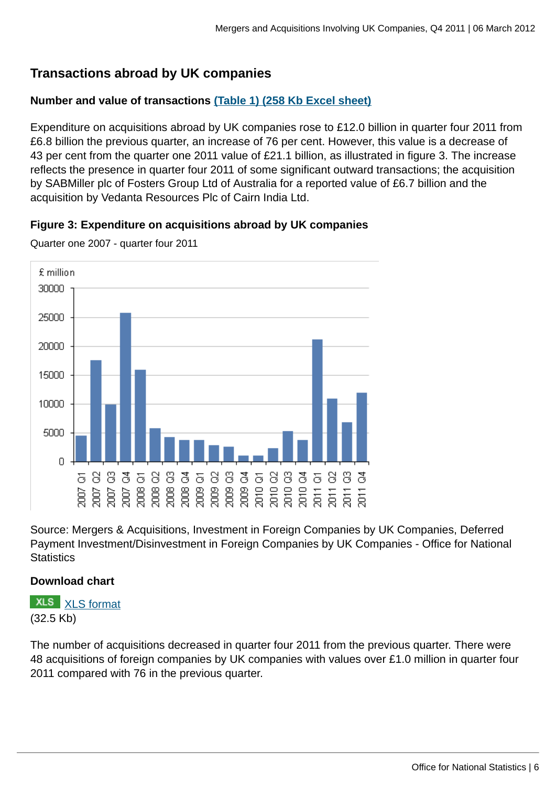# **Transactions abroad by UK companies**

# **Number and value of transactions [\(Table 1\) \(258 Kb Excel sheet\)](http://www.ons.gov.uk:80/ons/rel/international-transactions/mergers-and-acquisitions-involving-uk-companies/q4-2011/rft-tables-1-10.xls)**

Expenditure on acquisitions abroad by UK companies rose to £12.0 billion in quarter four 2011 from £6.8 billion the previous quarter, an increase of 76 per cent. However, this value is a decrease of 43 per cent from the quarter one 2011 value of £21.1 billion, as illustrated in figure 3. The increase reflects the presence in quarter four 2011 of some significant outward transactions; the acquisition by SABMiller plc of Fosters Group Ltd of Australia for a reported value of £6.7 billion and the acquisition by Vedanta Resources Plc of Cairn India Ltd.

## **Figure 3: Expenditure on acquisitions abroad by UK companies**



Quarter one 2007 - quarter four 2011

Source: Mergers & Acquisitions, Investment in Foreign Companies by UK Companies, Deferred Payment Investment/Disinvestment in Foreign Companies by UK Companies - Office for National **Statistics** 

## **Download chart**

**XLS** [XLS format](http://www.ons.gov.uk:80/ons/rel/international-transactions/mergers-and-acquisitions-involving-uk-companies/q4-2011/chd-outward-values.xls) (32.5 Kb)

The number of acquisitions decreased in quarter four 2011 from the previous quarter. There were 48 acquisitions of foreign companies by UK companies with values over £1.0 million in quarter four 2011 compared with 76 in the previous quarter.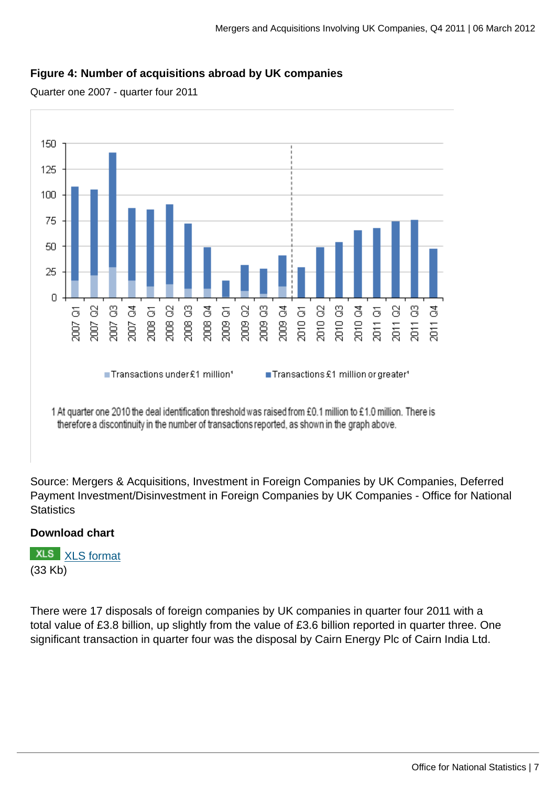

Quarter one 2007 - quarter four 2011



<sup>1</sup> At quarter one 2010 the deal identification threshold was raised from £0.1 million to £1.0 million. There is therefore a discontinuity in the number of transactions reported, as shown in the graph above.

Source: Mergers & Acquisitions, Investment in Foreign Companies by UK Companies, Deferred Payment Investment/Disinvestment in Foreign Companies by UK Companies - Office for National **Statistics** 

# **Download chart**

**XLS** [XLS format](http://www.ons.gov.uk:80/ons/rel/international-transactions/mergers-and-acquisitions-involving-uk-companies/q4-2011/chd-outward-numbers.xls) (33 Kb)

There were 17 disposals of foreign companies by UK companies in quarter four 2011 with a total value of £3.8 billion, up slightly from the value of £3.6 billion reported in quarter three. One significant transaction in quarter four was the disposal by Cairn Energy Plc of Cairn India Ltd.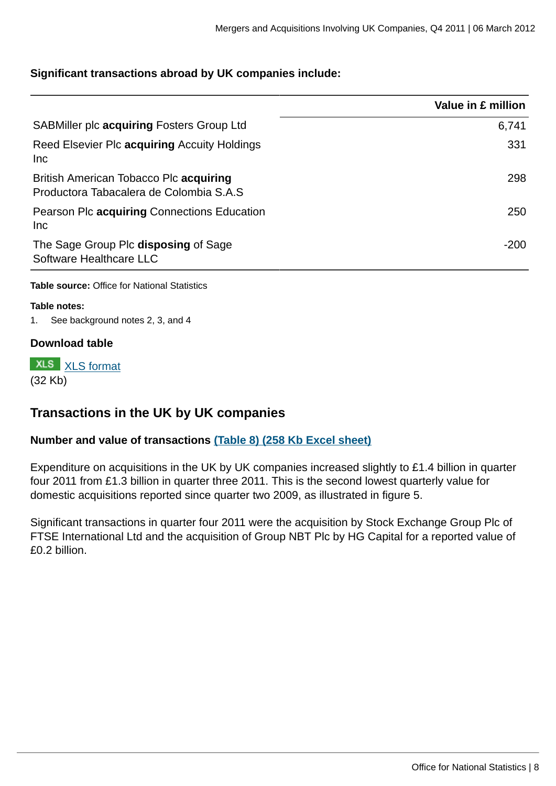#### **Significant transactions abroad by UK companies include:**

|                                                                                   | Value in £ million |
|-----------------------------------------------------------------------------------|--------------------|
| SABMiller plc acquiring Fosters Group Ltd                                         | 6,741              |
| Reed Elsevier Plc acquiring Accuity Holdings<br><b>Inc</b>                        | 331                |
| British American Tobacco Plc acquiring<br>Productora Tabacalera de Colombia S.A.S | 298                |
| Pearson Plc acquiring Connections Education<br><b>Inc</b>                         | 250                |
| The Sage Group Plc disposing of Sage<br>Software Healthcare LLC                   | $-200$             |

**Table source:** Office for National Statistics

#### **Table notes:**

1. See background notes 2, 3, and 4

#### **Download table**

**XLS** [XLS format](http://www.ons.gov.uk:80/ons/rel/international-transactions/mergers-and-acquisitions-involving-uk-companies/q4-2011/prt-significant-outward.xls) (32 Kb)

## **Transactions in the UK by UK companies**

#### **Number and value of transactions [\(Table 8\) \(258 Kb Excel sheet\)](http://www.ons.gov.uk:80/ons/rel/international-transactions/mergers-and-acquisitions-involving-uk-companies/q4-2011/rft-tables-1-10.xls)**

Expenditure on acquisitions in the UK by UK companies increased slightly to £1.4 billion in quarter four 2011 from £1.3 billion in quarter three 2011. This is the second lowest quarterly value for domestic acquisitions reported since quarter two 2009, as illustrated in figure 5.

Significant transactions in quarter four 2011 were the acquisition by Stock Exchange Group Plc of FTSE International Ltd and the acquisition of Group NBT Plc by HG Capital for a reported value of £0.2 billion.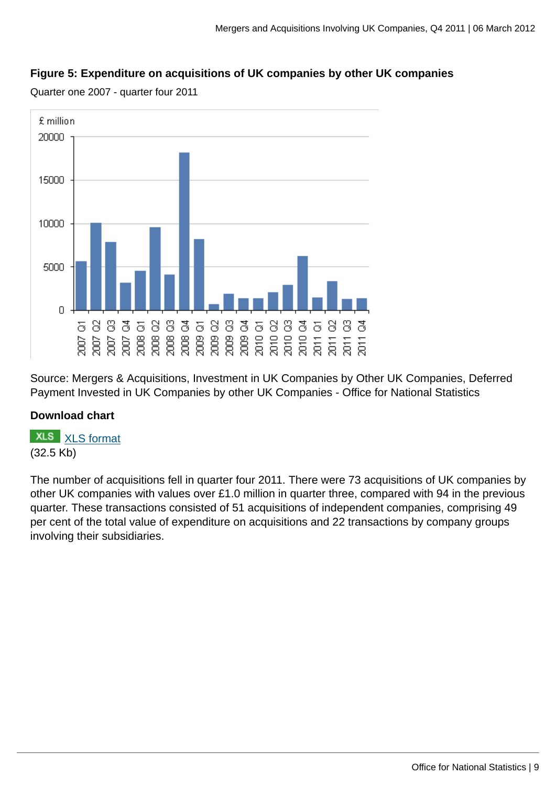## **Figure 5: Expenditure on acquisitions of UK companies by other UK companies**

Quarter one 2007 - quarter four 2011



Source: Mergers & Acquisitions, Investment in UK Companies by Other UK Companies, Deferred Payment Invested in UK Companies by other UK Companies - Office for National Statistics

## **Download chart**

**XLS** [XLS format](http://www.ons.gov.uk:80/ons/rel/international-transactions/mergers-and-acquisitions-involving-uk-companies/q4-2011/chd-domestic-values.xls) (32.5 Kb)

The number of acquisitions fell in quarter four 2011. There were 73 acquisitions of UK companies by other UK companies with values over £1.0 million in quarter three, compared with 94 in the previous quarter. These transactions consisted of 51 acquisitions of independent companies, comprising 49 per cent of the total value of expenditure on acquisitions and 22 transactions by company groups involving their subsidiaries.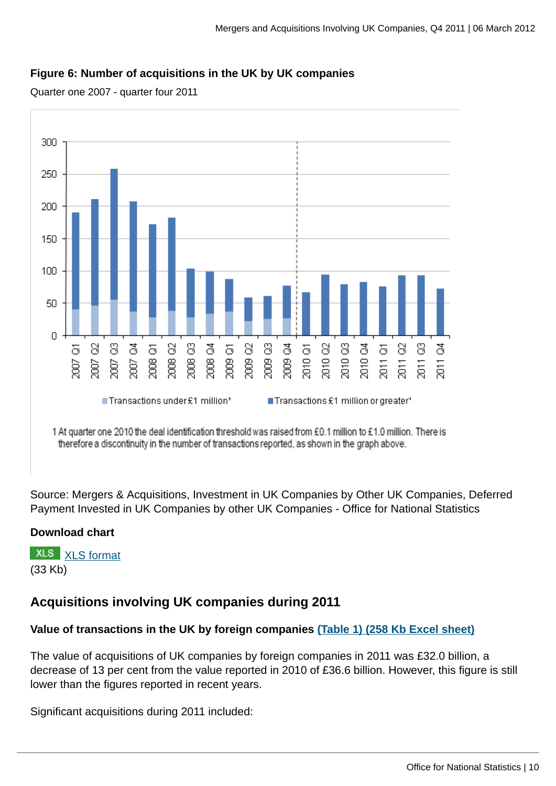## **Figure 6: Number of acquisitions in the UK by UK companies**

Quarter one 2007 - quarter four 2011



1 At quarter one 2010 the deal identification threshold was raised from £0.1 million to £1.0 million. There is therefore a discontinuity in the number of transactions reported, as shown in the graph above.

Source: Mergers & Acquisitions, Investment in UK Companies by Other UK Companies, Deferred Payment Invested in UK Companies by other UK Companies - Office for National Statistics

## **Download chart**

**XLS** [XLS format](http://www.ons.gov.uk:80/ons/rel/international-transactions/mergers-and-acquisitions-involving-uk-companies/q4-2011/chd-domestic-numbers.xls) (33 Kb)

## **Acquisitions involving UK companies during 2011**

## **Value of transactions in the UK by foreign companies [\(Table 1\) \(258 Kb Excel sheet\)](http://www.ons.gov.uk:80/ons/rel/international-transactions/mergers-and-acquisitions-involving-uk-companies/q4-2011/rft-tables-1-10.xls)**

The value of acquisitions of UK companies by foreign companies in 2011 was £32.0 billion, a decrease of 13 per cent from the value reported in 2010 of £36.6 billion. However, this figure is still lower than the figures reported in recent years.

Significant acquisitions during 2011 included: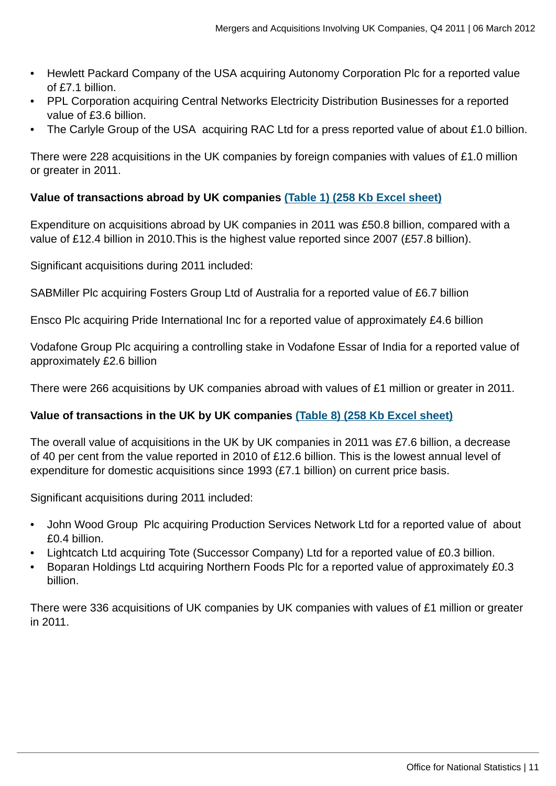- Hewlett Packard Company of the USA acquiring Autonomy Corporation Plc for a reported value of £7.1 billion.
- PPL Corporation acquiring Central Networks Electricity Distribution Businesses for a reported value of £3.6 billion.
- The Carlyle Group of the USA acquiring RAC Ltd for a press reported value of about £1.0 billion.

There were 228 acquisitions in the UK companies by foreign companies with values of £1.0 million or greater in 2011.

#### **Value of transactions abroad by UK companies [\(Table 1\) \(258 Kb Excel sheet\)](http://www.ons.gov.uk:80/ons/rel/international-transactions/mergers-and-acquisitions-involving-uk-companies/q4-2011/rft-tables-1-10.xls)**

Expenditure on acquisitions abroad by UK companies in 2011 was £50.8 billion, compared with a value of £12.4 billion in 2010.This is the highest value reported since 2007 (£57.8 billion).

Significant acquisitions during 2011 included:

SABMiller Plc acquiring Fosters Group Ltd of Australia for a reported value of £6.7 billion

Ensco Plc acquiring Pride International Inc for a reported value of approximately £4.6 billion

Vodafone Group Plc acquiring a controlling stake in Vodafone Essar of India for a reported value of approximately £2.6 billion

There were 266 acquisitions by UK companies abroad with values of £1 million or greater in 2011.

#### **Value of transactions in the UK by UK companies [\(Table 8\) \(258 Kb Excel sheet\)](http://www.ons.gov.uk:80/ons/rel/international-transactions/mergers-and-acquisitions-involving-uk-companies/q4-2011/rft-tables-1-10.xls)**

The overall value of acquisitions in the UK by UK companies in 2011 was £7.6 billion, a decrease of 40 per cent from the value reported in 2010 of £12.6 billion. This is the lowest annual level of expenditure for domestic acquisitions since 1993 (£7.1 billion) on current price basis.

Significant acquisitions during 2011 included:

- John Wood Group Plc acquiring Production Services Network Ltd for a reported value of about £0.4 billion.
- Lightcatch Ltd acquiring Tote (Successor Company) Ltd for a reported value of £0.3 billion.
- Boparan Holdings Ltd acquiring Northern Foods Plc for a reported value of approximately £0.3 billion.

There were 336 acquisitions of UK companies by UK companies with values of £1 million or greater in 2011.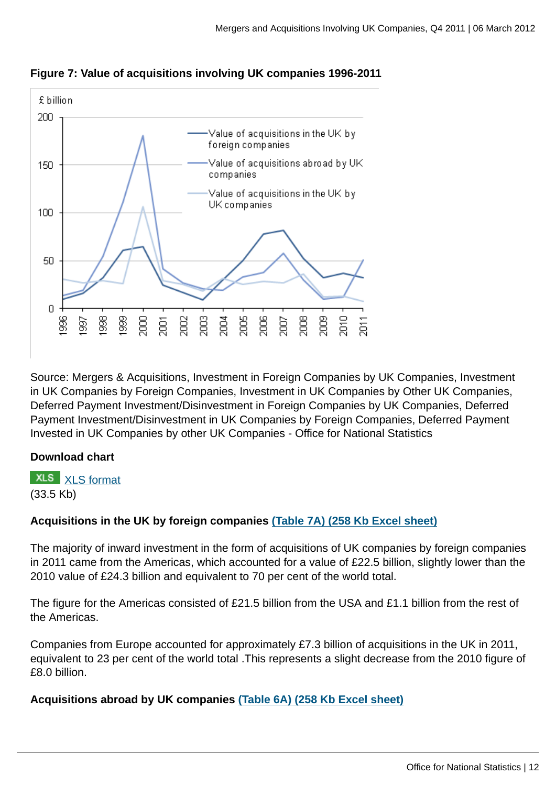



Source: Mergers & Acquisitions, Investment in Foreign Companies by UK Companies, Investment in UK Companies by Foreign Companies, Investment in UK Companies by Other UK Companies, Deferred Payment Investment/Disinvestment in Foreign Companies by UK Companies, Deferred Payment Investment/Disinvestment in UK Companies by Foreign Companies, Deferred Payment Invested in UK Companies by other UK Companies - Office for National Statistics

## **Download chart**

**XLS** [XLS format](http://www.ons.gov.uk:80/ons/rel/international-transactions/mergers-and-acquisitions-involving-uk-companies/q4-2011/chd-annual-acquisition-values.xls)

(33.5 Kb)

## **Acquisitions in the UK by foreign companies [\(Table 7A\) \(258 Kb Excel sheet\)](http://www.ons.gov.uk:80/ons/rel/international-transactions/mergers-and-acquisitions-involving-uk-companies/q4-2011/rft-tables-1-10.xls)**

The majority of inward investment in the form of acquisitions of UK companies by foreign companies in 2011 came from the Americas, which accounted for a value of £22.5 billion, slightly lower than the 2010 value of £24.3 billion and equivalent to 70 per cent of the world total.

The figure for the Americas consisted of £21.5 billion from the USA and £1.1 billion from the rest of the Americas.

Companies from Europe accounted for approximately £7.3 billion of acquisitions in the UK in 2011, equivalent to 23 per cent of the world total .This represents a slight decrease from the 2010 figure of £8.0 billion.

**Acquisitions abroad by UK companies [\(Table 6A\) \(258 Kb Excel sheet\)](http://www.ons.gov.uk:80/ons/rel/international-transactions/mergers-and-acquisitions-involving-uk-companies/q4-2011/rft-tables-1-10.xls)**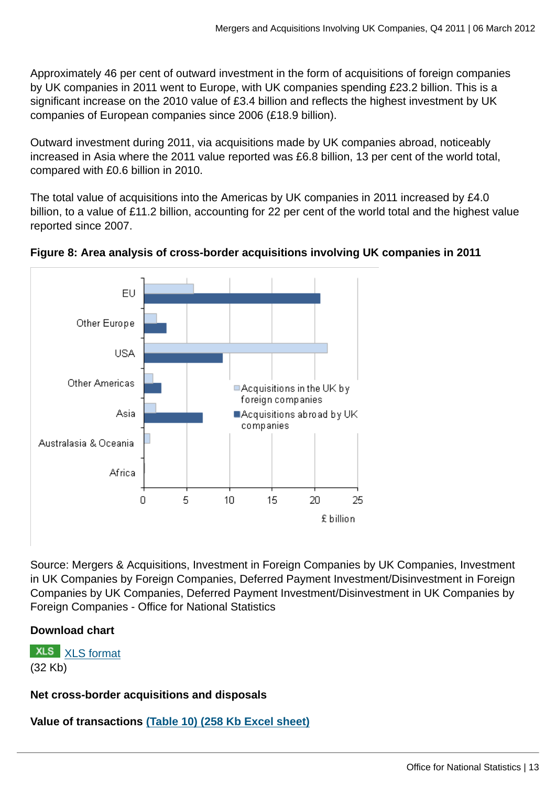Approximately 46 per cent of outward investment in the form of acquisitions of foreign companies by UK companies in 2011 went to Europe, with UK companies spending £23.2 billion. This is a significant increase on the 2010 value of £3.4 billion and reflects the highest investment by UK companies of European companies since 2006 (£18.9 billion).

Outward investment during 2011, via acquisitions made by UK companies abroad, noticeably increased in Asia where the 2011 value reported was £6.8 billion, 13 per cent of the world total, compared with £0.6 billion in 2010.

The total value of acquisitions into the Americas by UK companies in 2011 increased by £4.0 billion, to a value of £11.2 billion, accounting for 22 per cent of the world total and the highest value reported since 2007.



#### **Figure 8: Area analysis of cross-border acquisitions involving UK companies in 2011**

Source: Mergers & Acquisitions, Investment in Foreign Companies by UK Companies, Investment in UK Companies by Foreign Companies, Deferred Payment Investment/Disinvestment in Foreign Companies by UK Companies, Deferred Payment Investment/Disinvestment in UK Companies by Foreign Companies - Office for National Statistics

## **Download chart**

**XLS** [XLS format](http://www.ons.gov.uk:80/ons/rel/international-transactions/mergers-and-acquisitions-involving-uk-companies/q4-2011/chd-annual-geographic-values.xls) (32 Kb)

**Net cross-border acquisitions and disposals**

**Value of transactions [\(Table 10\) \(258 Kb Excel sheet\)](http://www.ons.gov.uk:80/ons/rel/international-transactions/mergers-and-acquisitions-involving-uk-companies/q4-2011/rft-tables-1-10.xls)**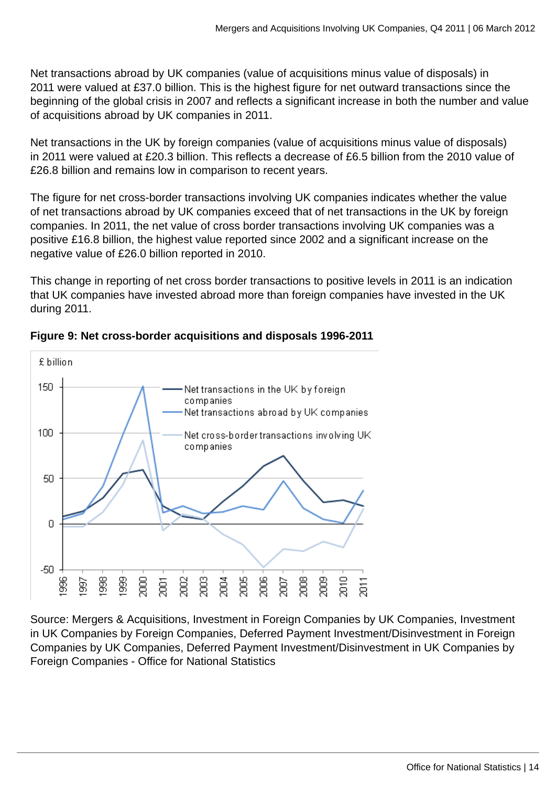Net transactions abroad by UK companies (value of acquisitions minus value of disposals) in 2011 were valued at £37.0 billion. This is the highest figure for net outward transactions since the beginning of the global crisis in 2007 and reflects a significant increase in both the number and value of acquisitions abroad by UK companies in 2011.

Net transactions in the UK by foreign companies (value of acquisitions minus value of disposals) in 2011 were valued at £20.3 billion. This reflects a decrease of £6.5 billion from the 2010 value of £26.8 billion and remains low in comparison to recent years.

The figure for net cross-border transactions involving UK companies indicates whether the value of net transactions abroad by UK companies exceed that of net transactions in the UK by foreign companies. In 2011, the net value of cross border transactions involving UK companies was a positive £16.8 billion, the highest value reported since 2002 and a significant increase on the negative value of £26.0 billion reported in 2010.

This change in reporting of net cross border transactions to positive levels in 2011 is an indication that UK companies have invested abroad more than foreign companies have invested in the UK during 2011.





Source: Mergers & Acquisitions, Investment in Foreign Companies by UK Companies, Investment in UK Companies by Foreign Companies, Deferred Payment Investment/Disinvestment in Foreign Companies by UK Companies, Deferred Payment Investment/Disinvestment in UK Companies by Foreign Companies - Office for National Statistics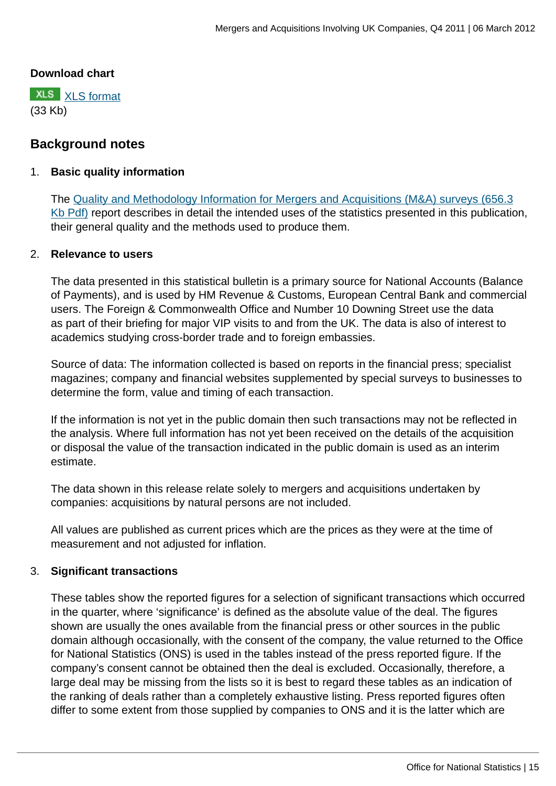#### **Download chart**

**XLS** [XLS format](http://www.ons.gov.uk:80/ons/rel/international-transactions/mergers-and-acquisitions-involving-uk-companies/q4-2011/chd-annual-net-values.xls) (33 Kb)

## **Background notes**

#### 1. **Basic quality information**

The [Quality and Methodology Information for Mergers and Acquisitions \(M&A\) surveys \(656.3](http://www.ons.gov.uk:80/ons/guide-method/method-quality/quality/quality-information/business-statistics/quality-and-methodology-information-for-mergers-and-acquisitions--m-a--surveys-releases.pdf) [Kb Pdf\)](http://www.ons.gov.uk:80/ons/guide-method/method-quality/quality/quality-information/business-statistics/quality-and-methodology-information-for-mergers-and-acquisitions--m-a--surveys-releases.pdf) report describes in detail the intended uses of the statistics presented in this publication, their general quality and the methods used to produce them.

#### 2. **Relevance to users**

The data presented in this statistical bulletin is a primary source for National Accounts (Balance of Payments), and is used by HM Revenue & Customs, European Central Bank and commercial users. The Foreign & Commonwealth Office and Number 10 Downing Street use the data as part of their briefing for major VIP visits to and from the UK. The data is also of interest to academics studying cross-border trade and to foreign embassies.

Source of data: The information collected is based on reports in the financial press; specialist magazines; company and financial websites supplemented by special surveys to businesses to determine the form, value and timing of each transaction.

If the information is not yet in the public domain then such transactions may not be reflected in the analysis. Where full information has not yet been received on the details of the acquisition or disposal the value of the transaction indicated in the public domain is used as an interim estimate.

The data shown in this release relate solely to mergers and acquisitions undertaken by companies: acquisitions by natural persons are not included.

All values are published as current prices which are the prices as they were at the time of measurement and not adjusted for inflation.

## 3. **Significant transactions**

These tables show the reported figures for a selection of significant transactions which occurred in the quarter, where 'significance' is defined as the absolute value of the deal. The figures shown are usually the ones available from the financial press or other sources in the public domain although occasionally, with the consent of the company, the value returned to the Office for National Statistics (ONS) is used in the tables instead of the press reported figure. If the company's consent cannot be obtained then the deal is excluded. Occasionally, therefore, a large deal may be missing from the lists so it is best to regard these tables as an indication of the ranking of deals rather than a completely exhaustive listing. Press reported figures often differ to some extent from those supplied by companies to ONS and it is the latter which are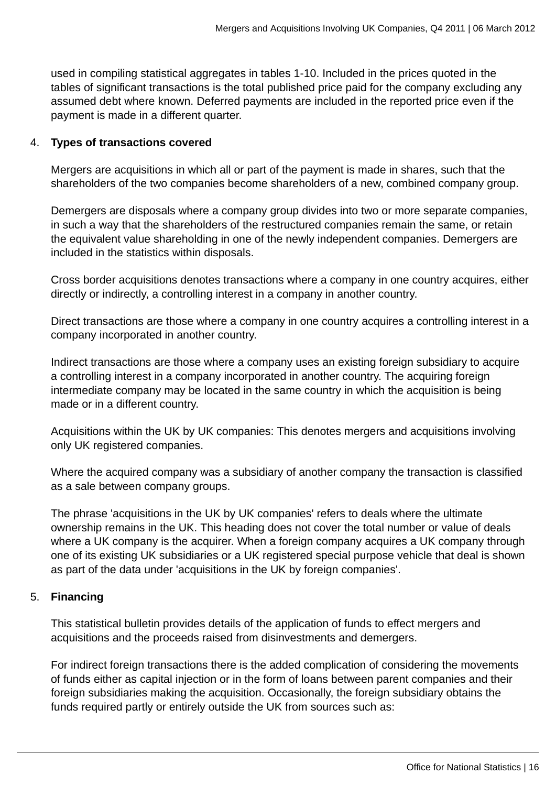used in compiling statistical aggregates in tables 1-10. Included in the prices quoted in the tables of significant transactions is the total published price paid for the company excluding any assumed debt where known. Deferred payments are included in the reported price even if the payment is made in a different quarter.

#### 4. **Types of transactions covered**

Mergers are acquisitions in which all or part of the payment is made in shares, such that the shareholders of the two companies become shareholders of a new, combined company group.

Demergers are disposals where a company group divides into two or more separate companies, in such a way that the shareholders of the restructured companies remain the same, or retain the equivalent value shareholding in one of the newly independent companies. Demergers are included in the statistics within disposals.

Cross border acquisitions denotes transactions where a company in one country acquires, either directly or indirectly, a controlling interest in a company in another country.

Direct transactions are those where a company in one country acquires a controlling interest in a company incorporated in another country.

Indirect transactions are those where a company uses an existing foreign subsidiary to acquire a controlling interest in a company incorporated in another country. The acquiring foreign intermediate company may be located in the same country in which the acquisition is being made or in a different country.

Acquisitions within the UK by UK companies: This denotes mergers and acquisitions involving only UK registered companies.

Where the acquired company was a subsidiary of another company the transaction is classified as a sale between company groups.

The phrase 'acquisitions in the UK by UK companies' refers to deals where the ultimate ownership remains in the UK. This heading does not cover the total number or value of deals where a UK company is the acquirer. When a foreign company acquires a UK company through one of its existing UK subsidiaries or a UK registered special purpose vehicle that deal is shown as part of the data under 'acquisitions in the UK by foreign companies'.

#### 5. **Financing**

This statistical bulletin provides details of the application of funds to effect mergers and acquisitions and the proceeds raised from disinvestments and demergers.

For indirect foreign transactions there is the added complication of considering the movements of funds either as capital injection or in the form of loans between parent companies and their foreign subsidiaries making the acquisition. Occasionally, the foreign subsidiary obtains the funds required partly or entirely outside the UK from sources such as: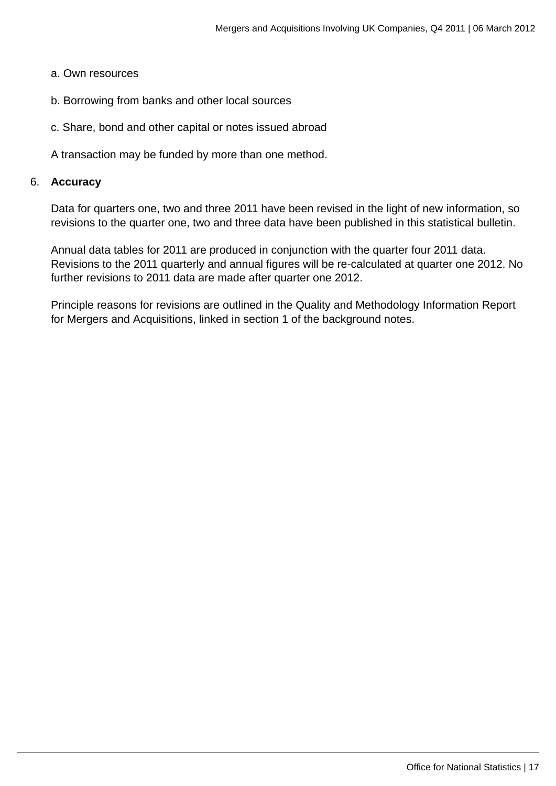#### a. Own resources

- b. Borrowing from banks and other local sources
- c. Share, bond and other capital or notes issued abroad

A transaction may be funded by more than one method.

#### 6. **Accuracy**

Data for quarters one, two and three 2011 have been revised in the light of new information, so revisions to the quarter one, two and three data have been published in this statistical bulletin.

Annual data tables for 2011 are produced in conjunction with the quarter four 2011 data. Revisions to the 2011 quarterly and annual figures will be re-calculated at quarter one 2012. No further revisions to 2011 data are made after quarter one 2012.

Principle reasons for revisions are outlined in the Quality and Methodology Information Report for Mergers and Acquisitions, linked in section 1 of the background notes.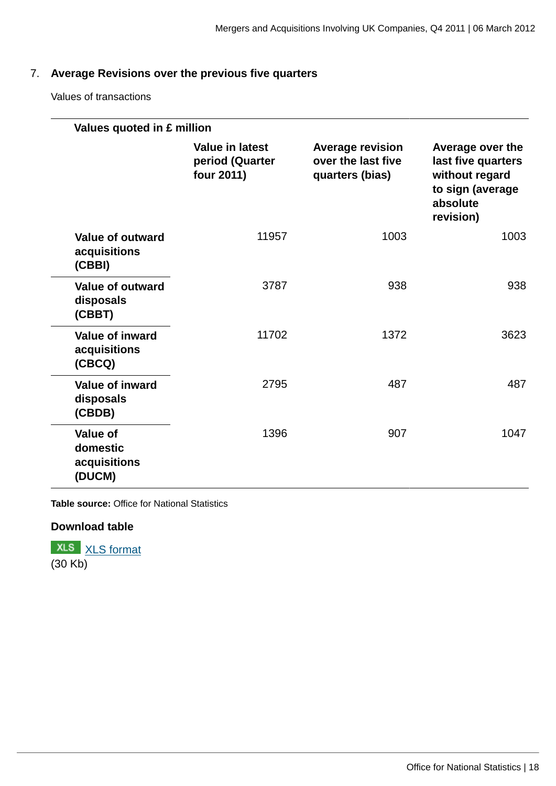# 7. **Average Revisions over the previous five quarters**

Values of transactions

| Values quoted in £ million                            |                                                         |                                                                  |                                                                                                       |
|-------------------------------------------------------|---------------------------------------------------------|------------------------------------------------------------------|-------------------------------------------------------------------------------------------------------|
|                                                       | <b>Value in latest</b><br>period (Quarter<br>four 2011) | <b>Average revision</b><br>over the last five<br>quarters (bias) | Average over the<br>last five quarters<br>without regard<br>to sign (average<br>absolute<br>revision) |
| <b>Value of outward</b><br>acquisitions<br>(CBBI)     | 11957                                                   | 1003                                                             | 1003                                                                                                  |
| <b>Value of outward</b><br>disposals<br>(CBBT)        | 3787                                                    | 938                                                              | 938                                                                                                   |
| <b>Value of inward</b><br>acquisitions<br>(CBCQ)      | 11702                                                   | 1372                                                             | 3623                                                                                                  |
| <b>Value of inward</b><br>disposals<br>(CBDB)         | 2795                                                    | 487                                                              | 487                                                                                                   |
| <b>Value of</b><br>domestic<br>acquisitions<br>(DUCM) | 1396                                                    | 907                                                              | 1047                                                                                                  |

**Table source:** Office for National Statistics

#### **Download table**

**XLS** [XLS format](http://www.ons.gov.uk:80/ons/rel/international-transactions/mergers-and-acquisitions-involving-uk-companies/q4-2011/prt-revisions-values.xls)  $(30 Kb)$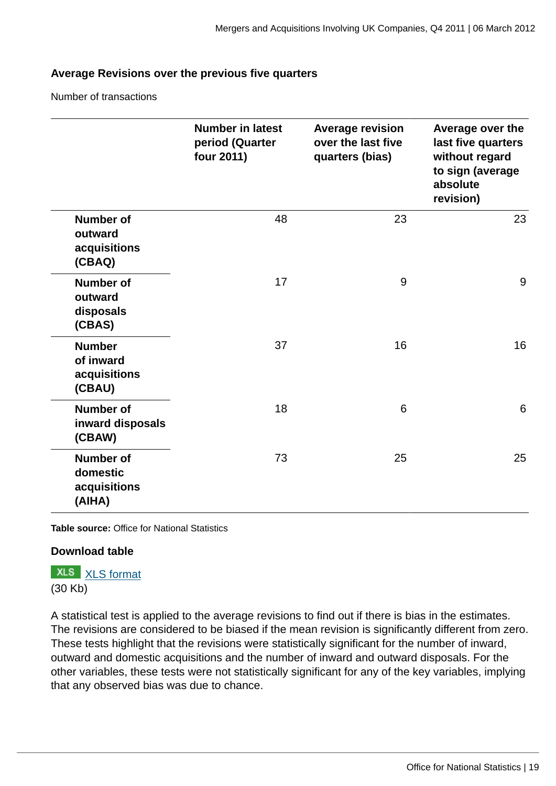#### **Average Revisions over the previous five quarters**

Number of transactions

|                                                        | <b>Number in latest</b><br>period (Quarter<br>four 2011) | <b>Average revision</b><br>over the last five<br>quarters (bias) | Average over the<br>last five quarters<br>without regard<br>to sign (average<br>absolute<br>revision) |
|--------------------------------------------------------|----------------------------------------------------------|------------------------------------------------------------------|-------------------------------------------------------------------------------------------------------|
| <b>Number of</b><br>outward<br>acquisitions<br>(CBAQ)  | 48                                                       | 23                                                               | 23                                                                                                    |
| <b>Number of</b><br>outward<br>disposals<br>(CBAS)     | 17                                                       | 9                                                                | 9                                                                                                     |
| <b>Number</b><br>of inward<br>acquisitions<br>(CBAU)   | 37                                                       | 16                                                               | 16                                                                                                    |
| <b>Number of</b><br>inward disposals<br>(CBAW)         | 18                                                       | 6                                                                | 6                                                                                                     |
| <b>Number of</b><br>domestic<br>acquisitions<br>(AIHA) | 73                                                       | 25                                                               | 25                                                                                                    |

**Table source:** Office for National Statistics

#### **Download table**

**XLS** [XLS format](http://www.ons.gov.uk:80/ons/rel/international-transactions/mergers-and-acquisitions-involving-uk-companies/q4-2011/prt-revisions-numbers.xls) (30 Kb)

A statistical test is applied to the average revisions to find out if there is bias in the estimates. The revisions are considered to be biased if the mean revision is significantly different from zero. These tests highlight that the revisions were statistically significant for the number of inward, outward and domestic acquisitions and the number of inward and outward disposals. For the other variables, these tests were not statistically significant for any of the key variables, implying that any observed bias was due to chance.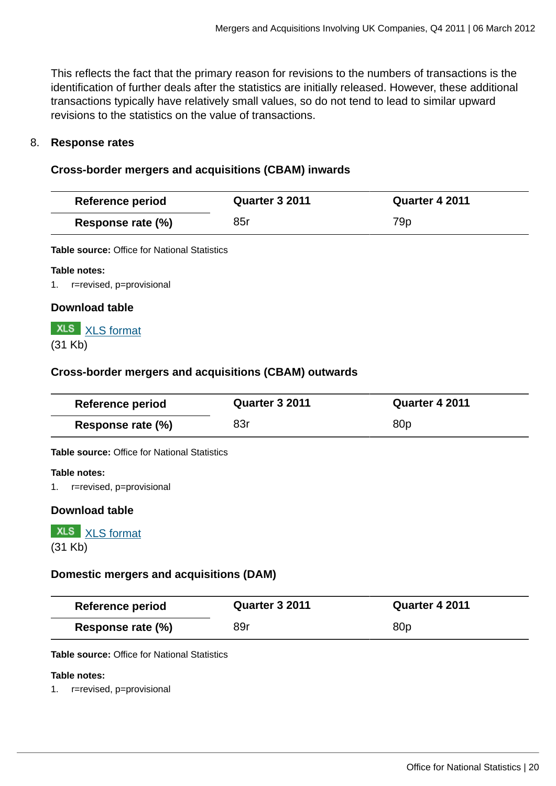This reflects the fact that the primary reason for revisions to the numbers of transactions is the identification of further deals after the statistics are initially released. However, these additional transactions typically have relatively small values, so do not tend to lead to similar upward revisions to the statistics on the value of transactions.

#### 8. **Response rates**

#### **Cross-border mergers and acquisitions (CBAM) inwards**

| Reference period  | <b>Quarter 3 2011</b> | <b>Quarter 4 2011</b> |  |
|-------------------|-----------------------|-----------------------|--|
| Response rate (%) | 85r                   | 79 <sub>p</sub>       |  |

**Table source:** Office for National Statistics

#### **Table notes:**

1. r=revised, p=provisional

#### **Download table**

# **XLS** [XLS format](http://www.ons.gov.uk:80/ons/rel/international-transactions/mergers-and-acquisitions-involving-uk-companies/q4-2011/prt-inward-response.xls)

(31 Kb)

#### **Cross-border mergers and acquisitions (CBAM) outwards**

| <b>Reference period</b> | <b>Quarter 3 2011</b> | <b>Quarter 4 2011</b> |
|-------------------------|-----------------------|-----------------------|
| Response rate (%)       | 83r                   | 80 <sub>p</sub>       |

**Table source:** Office for National Statistics

#### **Table notes:**

1. r=revised, p=provisional

#### **Download table**

**XLS** [XLS format](http://www.ons.gov.uk:80/ons/rel/international-transactions/mergers-and-acquisitions-involving-uk-companies/q4-2011/prt-outward-response.xls) (31 Kb)

#### **Domestic mergers and acquisitions (DAM)**

| Reference period  | <b>Quarter 3 2011</b> | <b>Quarter 4 2011</b> |
|-------------------|-----------------------|-----------------------|
| Response rate (%) | 89r                   | 80p                   |

**Table source:** Office for National Statistics

#### **Table notes:**

1. r=revised, p=provisional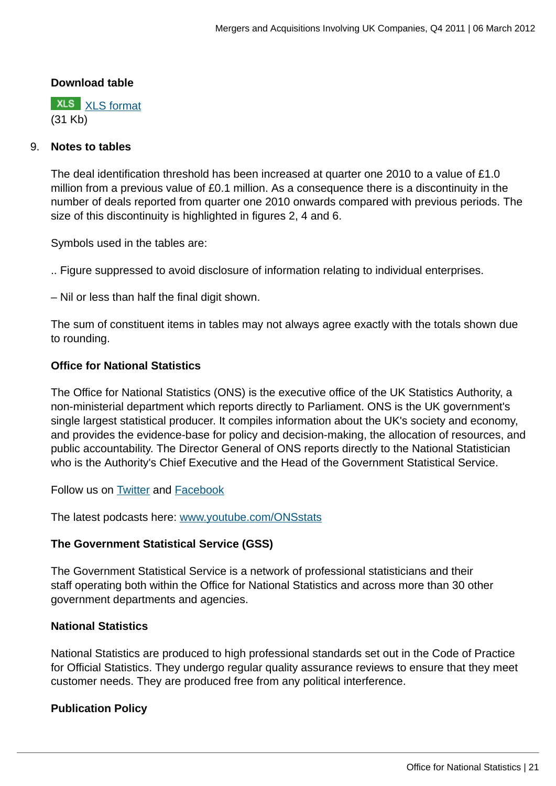#### **Download table**

**XLS** [XLS format](http://www.ons.gov.uk:80/ons/rel/international-transactions/mergers-and-acquisitions-involving-uk-companies/q4-2011/prt-domestic-response.xls) (31 Kb)

#### 9. **Notes to tables**

The deal identification threshold has been increased at quarter one 2010 to a value of £1.0 million from a previous value of £0.1 million. As a consequence there is a discontinuity in the number of deals reported from quarter one 2010 onwards compared with previous periods. The size of this discontinuity is highlighted in figures 2, 4 and 6.

Symbols used in the tables are:

.. Figure suppressed to avoid disclosure of information relating to individual enterprises.

– Nil or less than half the final digit shown.

The sum of constituent items in tables may not always agree exactly with the totals shown due to rounding.

#### **Office for National Statistics**

The Office for National Statistics (ONS) is the executive office of the UK Statistics Authority, a non-ministerial department which reports directly to Parliament. ONS is the UK government's single largest statistical producer. It compiles information about the UK's society and economy, and provides the evidence-base for policy and decision-making, the allocation of resources, and public accountability. The Director General of ONS reports directly to the National Statistician who is the Authority's Chief Executive and the Head of the Government Statistical Service.

Follow us on [Twitter](http://www.ons.gov.uk:80/ons/external-links/social-media/twitter.html) and [Facebook](http://www.ons.gov.uk:80/ons/external-links/social-media/index.html)

The latest podcasts here: [www.youtube.com/ONSstats](http://www.youtube.com/ONSstats)

## **The Government Statistical Service (GSS)**

The Government Statistical Service is a network of professional statisticians and their staff operating both within the Office for National Statistics and across more than 30 other government departments and agencies.

#### **National Statistics**

National Statistics are produced to high professional standards set out in the Code of Practice for Official Statistics. They undergo regular quality assurance reviews to ensure that they meet customer needs. They are produced free from any political interference.

#### **Publication Policy**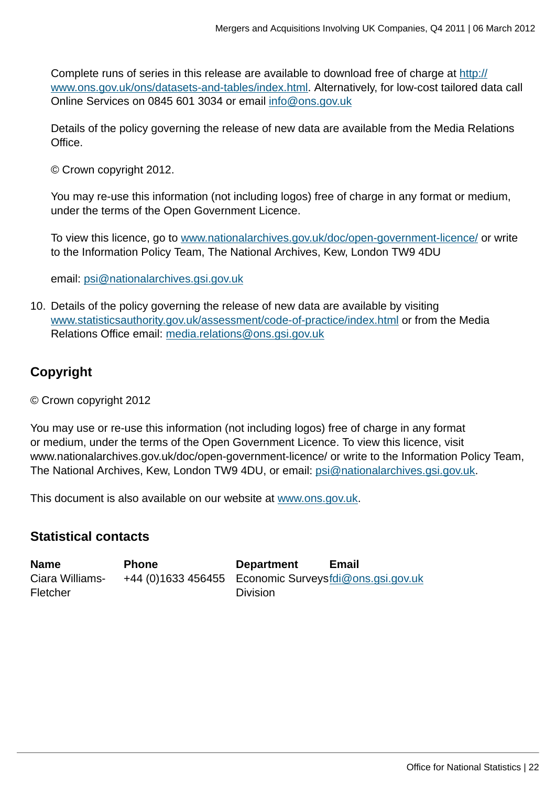Complete runs of series in this release are available to download free of charge at [http://](http://www.ons.gov.uk/ons/datasets-and-tables/index.html) [www.ons.gov.uk/ons/datasets-and-tables/index.html.](http://www.ons.gov.uk/ons/datasets-and-tables/index.html) Alternatively, for low-cost tailored data call Online Services on 0845 601 3034 or email [info@ons.gov.uk](mailto:info@ons.gov.uk)

Details of the policy governing the release of new data are available from the Media Relations Office.

© Crown copyright 2012.

You may re-use this information (not including logos) free of charge in any format or medium, under the terms of the Open Government Licence.

To view this licence, go to [www.nationalarchives.gov.uk/doc/open-government-licence/](http://www.nationalarchives.gov.uk/doc/open-government-licence/) or write to the Information Policy Team, The National Archives, Kew, London TW9 4DU

email: [psi@nationalarchives.gsi.gov.uk](mailto:psi@nationalarchives.gsi.gov.uk)

10. Details of the policy governing the release of new data are available by visiting [www.statisticsauthority.gov.uk/assessment/code-of-practice/index.html](http://www.statisticsauthority.gov.uk/assessment/code-of-practice/index.html) or from the Media Relations Office email: [media.relations@ons.gsi.gov.uk](mailto:media.relations@ons.gsi.gov.uk)

# **Copyright**

© Crown copyright 2012

You may use or re-use this information (not including logos) free of charge in any format or medium, under the terms of the Open Government Licence. To view this licence, visit www.nationalarchives.gov.uk/doc/open-government-licence/ or write to the Information Policy Team, The National Archives, Kew, London TW9 4DU, or email: [psi@nationalarchives.gsi.gov.uk](mailto:psi@nationalarchives.gsi.gov.uk).

This document is also available on our website at [www.ons.gov.uk.](http://www.ons.gov.uk/)

## **Statistical contacts**

| <b>Name</b>     | <b>Phone</b>                                          | <b>Department</b> | Email |
|-----------------|-------------------------------------------------------|-------------------|-------|
| Ciara Williams- | +44 (0)1633 456455 Economic Surveysfdi@ons.gsi.gov.uk |                   |       |
| <b>Fletcher</b> |                                                       | <b>Division</b>   |       |